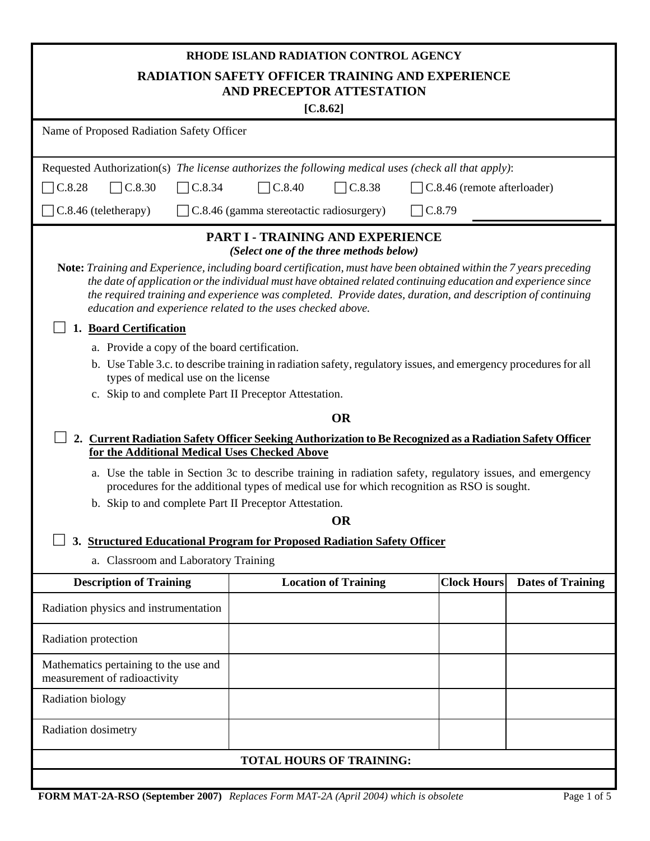| RHODE ISLAND RADIATION CONTROL AGENCY<br><b>RADIATION SAFETY OFFICER TRAINING AND EXPERIENCE</b><br>AND PRECEPTOR ATTESTATION<br>$[C.8.62]$                                                                                                                                                                                                                                                                       |                                                                                    |                             |                    |                          |  |  |  |
|-------------------------------------------------------------------------------------------------------------------------------------------------------------------------------------------------------------------------------------------------------------------------------------------------------------------------------------------------------------------------------------------------------------------|------------------------------------------------------------------------------------|-----------------------------|--------------------|--------------------------|--|--|--|
|                                                                                                                                                                                                                                                                                                                                                                                                                   | Name of Proposed Radiation Safety Officer                                          |                             |                    |                          |  |  |  |
| Requested Authorization(s) The license authorizes the following medical uses (check all that apply):                                                                                                                                                                                                                                                                                                              |                                                                                    |                             |                    |                          |  |  |  |
| C.8.28<br>$\Box$ C.8.30<br>$\neg$ C.8.34                                                                                                                                                                                                                                                                                                                                                                          | C.8.40<br>$\neg$ C.8.38<br>C.8.46 (remote afterloader)                             |                             |                    |                          |  |  |  |
| $\Box$ C.8.46 (teletherapy)                                                                                                                                                                                                                                                                                                                                                                                       | $\Box$ C.8.46 (gamma stereotactic radiosurgery)                                    |                             | C.8.79             |                          |  |  |  |
|                                                                                                                                                                                                                                                                                                                                                                                                                   | <b>PART I - TRAINING AND EXPERIENCE</b><br>(Select one of the three methods below) |                             |                    |                          |  |  |  |
| Note: Training and Experience, including board certification, must have been obtained within the 7 years preceding<br>the date of application or the individual must have obtained related continuing education and experience since<br>the required training and experience was completed. Provide dates, duration, and description of continuing<br>education and experience related to the uses checked above. |                                                                                    |                             |                    |                          |  |  |  |
| 1. Board Certification                                                                                                                                                                                                                                                                                                                                                                                            |                                                                                    |                             |                    |                          |  |  |  |
| a. Provide a copy of the board certification.                                                                                                                                                                                                                                                                                                                                                                     |                                                                                    |                             |                    |                          |  |  |  |
| b. Use Table 3.c. to describe training in radiation safety, regulatory issues, and emergency procedures for all<br>types of medical use on the license                                                                                                                                                                                                                                                            |                                                                                    |                             |                    |                          |  |  |  |
| c. Skip to and complete Part II Preceptor Attestation.                                                                                                                                                                                                                                                                                                                                                            |                                                                                    |                             |                    |                          |  |  |  |
| 2. Current Radiation Safety Officer Seeking Authorization to Be Recognized as a Radiation Safety Officer<br>for the Additional Medical Uses Checked Above                                                                                                                                                                                                                                                         |                                                                                    | <b>OR</b>                   |                    |                          |  |  |  |
| a. Use the table in Section 3c to describe training in radiation safety, regulatory issues, and emergency<br>procedures for the additional types of medical use for which recognition as RSO is sought.                                                                                                                                                                                                           |                                                                                    |                             |                    |                          |  |  |  |
| b. Skip to and complete Part II Preceptor Attestation.                                                                                                                                                                                                                                                                                                                                                            |                                                                                    | <b>OR</b>                   |                    |                          |  |  |  |
| 3. Structured Educational Program for Proposed Radiation Safety Officer                                                                                                                                                                                                                                                                                                                                           |                                                                                    |                             |                    |                          |  |  |  |
| a. Classroom and Laboratory Training                                                                                                                                                                                                                                                                                                                                                                              |                                                                                    |                             |                    |                          |  |  |  |
| <b>Description of Training</b>                                                                                                                                                                                                                                                                                                                                                                                    |                                                                                    | <b>Location of Training</b> | <b>Clock Hours</b> | <b>Dates of Training</b> |  |  |  |
| Radiation physics and instrumentation                                                                                                                                                                                                                                                                                                                                                                             |                                                                                    |                             |                    |                          |  |  |  |
| Radiation protection                                                                                                                                                                                                                                                                                                                                                                                              |                                                                                    |                             |                    |                          |  |  |  |
| Mathematics pertaining to the use and<br>measurement of radioactivity                                                                                                                                                                                                                                                                                                                                             |                                                                                    |                             |                    |                          |  |  |  |
| Radiation biology                                                                                                                                                                                                                                                                                                                                                                                                 |                                                                                    |                             |                    |                          |  |  |  |
| Radiation dosimetry                                                                                                                                                                                                                                                                                                                                                                                               |                                                                                    |                             |                    |                          |  |  |  |
| <b>TOTAL HOURS OF TRAINING:</b>                                                                                                                                                                                                                                                                                                                                                                                   |                                                                                    |                             |                    |                          |  |  |  |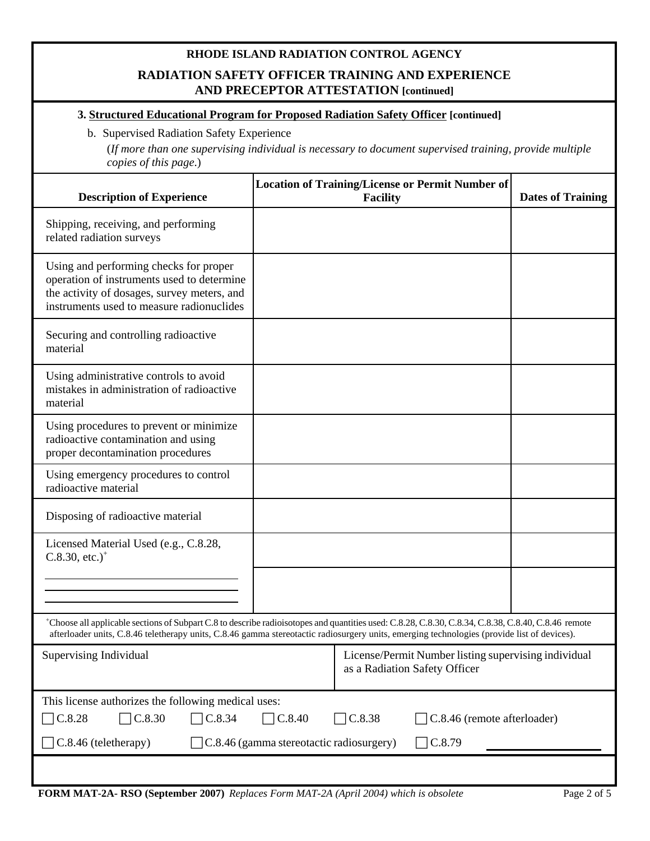### **RHODE ISLAND RADIATION CONTROL AGENCY**

## **RADIATION SAFETY OFFICER TRAINING AND EXPERIENCE AND PRECEPTOR ATTESTATION [continued]**

#### **3. Structured Educational Program for Proposed Radiation Safety Officer [continued]**

#### b. Supervised Radiation Safety Experience

(*If more than one supervising individual is necessary to document supervised training, provide multiple copies of this page*.)

| <b>Description of Experience</b>                                                                                                                                                                                                                                                                   | <b>Location of Training/License or Permit Number of</b><br><b>Facility</b> | <b>Dates of Training</b>                             |  |  |
|----------------------------------------------------------------------------------------------------------------------------------------------------------------------------------------------------------------------------------------------------------------------------------------------------|----------------------------------------------------------------------------|------------------------------------------------------|--|--|
| Shipping, receiving, and performing<br>related radiation surveys                                                                                                                                                                                                                                   |                                                                            |                                                      |  |  |
| Using and performing checks for proper<br>operation of instruments used to determine<br>the activity of dosages, survey meters, and<br>instruments used to measure radionuclides                                                                                                                   |                                                                            |                                                      |  |  |
| Securing and controlling radioactive<br>material                                                                                                                                                                                                                                                   |                                                                            |                                                      |  |  |
| Using administrative controls to avoid<br>mistakes in administration of radioactive<br>material                                                                                                                                                                                                    |                                                                            |                                                      |  |  |
| Using procedures to prevent or minimize<br>radioactive contamination and using<br>proper decontamination procedures                                                                                                                                                                                |                                                                            |                                                      |  |  |
| Using emergency procedures to control<br>radioactive material                                                                                                                                                                                                                                      |                                                                            |                                                      |  |  |
| Disposing of radioactive material                                                                                                                                                                                                                                                                  |                                                                            |                                                      |  |  |
| Licensed Material Used (e.g., C.8.28,<br>$C.8.30,$ etc.) <sup>+</sup>                                                                                                                                                                                                                              |                                                                            |                                                      |  |  |
|                                                                                                                                                                                                                                                                                                    |                                                                            |                                                      |  |  |
| *Choose all applicable sections of Subpart C.8 to describe radioisotopes and quantities used: C.8.28, C.8.30, C.8.34, C.8.38, C.8.40, C.8.46 remote<br>afterloader units, C.8.46 teletherapy units, C.8.46 gamma stereotactic radiosurgery units, emerging technologies (provide list of devices). |                                                                            |                                                      |  |  |
| Supervising Individual                                                                                                                                                                                                                                                                             | as a Radiation Safety Officer                                              | License/Permit Number listing supervising individual |  |  |
| This license authorizes the following medical uses:                                                                                                                                                                                                                                                |                                                                            |                                                      |  |  |
| $\neg$ C.8.28<br>C.8.30<br>C.8.34<br>$\Box$ C.8.38<br>$\big]$ C.8.40<br>C.8.46 (remote afterloader)                                                                                                                                                                                                |                                                                            |                                                      |  |  |
| C.8.79<br>$\sqrt{\text{C}}$ .8.46 (teletherapy)<br>C.8.46 (gamma stereotactic radiosurgery)                                                                                                                                                                                                        |                                                                            |                                                      |  |  |
|                                                                                                                                                                                                                                                                                                    |                                                                            |                                                      |  |  |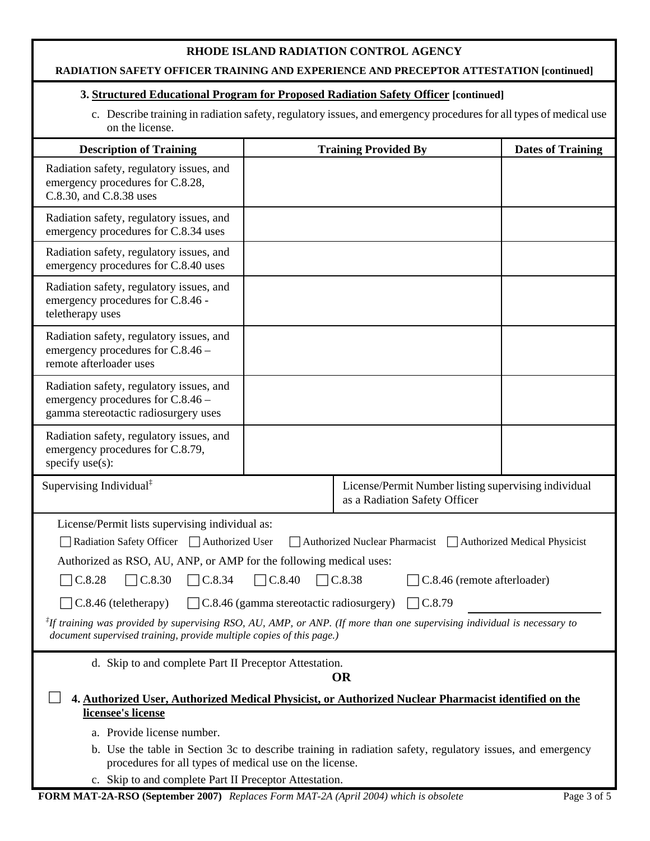#### **RHODE ISLAND RADIATION CONTROL AGENCY**

#### **RADIATION SAFETY OFFICER TRAINING AND EXPERIENCE AND PRECEPTOR ATTESTATION [continued]**

# **3. Structured Educational Program for Proposed Radiation Safety Officer [continued]**

c. Describe training in radiation safety, regulatory issues, and emergency procedures for all types of medical use on the license.

| <b>Description of Training</b>                                                                                                                                                                                                      | <b>Training Provided By</b>                                                           | <b>Dates of Training</b> |  |  |
|-------------------------------------------------------------------------------------------------------------------------------------------------------------------------------------------------------------------------------------|---------------------------------------------------------------------------------------|--------------------------|--|--|
| Radiation safety, regulatory issues, and<br>emergency procedures for C.8.28,<br>C.8.30, and C.8.38 uses                                                                                                                             |                                                                                       |                          |  |  |
| Radiation safety, regulatory issues, and<br>emergency procedures for C.8.34 uses                                                                                                                                                    |                                                                                       |                          |  |  |
| Radiation safety, regulatory issues, and<br>emergency procedures for C.8.40 uses                                                                                                                                                    |                                                                                       |                          |  |  |
| Radiation safety, regulatory issues, and<br>emergency procedures for C.8.46 -<br>teletherapy uses                                                                                                                                   |                                                                                       |                          |  |  |
| Radiation safety, regulatory issues, and<br>emergency procedures for C.8.46 –<br>remote afterloader uses                                                                                                                            |                                                                                       |                          |  |  |
| Radiation safety, regulatory issues, and<br>emergency procedures for C.8.46 -<br>gamma stereotactic radiosurgery uses                                                                                                               |                                                                                       |                          |  |  |
| Radiation safety, regulatory issues, and<br>emergency procedures for C.8.79,<br>specify use(s):                                                                                                                                     |                                                                                       |                          |  |  |
| Supervising Individual <sup>‡</sup>                                                                                                                                                                                                 | License/Permit Number listing supervising individual<br>as a Radiation Safety Officer |                          |  |  |
| License/Permit lists supervising individual as:<br>Radiation Safety Officer □ Authorized User<br>Authorized Nuclear Pharmacist □ Authorized Medical Physicist<br>Authorized as RSO, AU, ANP, or AMP for the following medical uses: |                                                                                       |                          |  |  |
| C.8.28<br>$\neg$ C.8.30<br>$\Box$ C.8.34<br>C.8.40<br>C.8.38<br>C.8.46 (remote afterloader)<br>C.8.46 (gamma stereotactic radiosurgery)<br>C.8.79<br>C.8.46 (teletherapy)                                                           |                                                                                       |                          |  |  |
| <sup>I</sup> If training was provided by supervising RSO, AU, AMP, or ANP. (If more than one supervising individual is necessary to<br>document supervised training, provide multiple copies of this page.)                         |                                                                                       |                          |  |  |
| d. Skip to and complete Part II Preceptor Attestation.<br><b>OR</b>                                                                                                                                                                 |                                                                                       |                          |  |  |
| 4. Authorized User, Authorized Medical Physicist, or Authorized Nuclear Pharmacist identified on the<br>licensee's license                                                                                                          |                                                                                       |                          |  |  |
| a. Provide license number.                                                                                                                                                                                                          |                                                                                       |                          |  |  |
| b. Use the table in Section 3c to describe training in radiation safety, regulatory issues, and emergency<br>procedures for all types of medical use on the license.                                                                |                                                                                       |                          |  |  |
| c. Skip to and complete Part II Preceptor Attestation.                                                                                                                                                                              |                                                                                       |                          |  |  |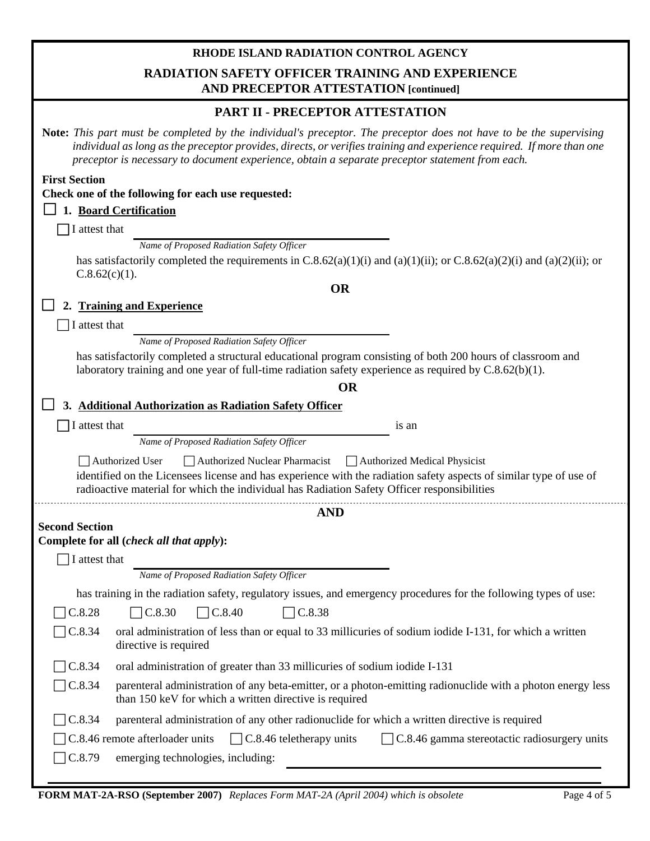# **RHODE ISLAND RADIATION CONTROL AGENCY RADIATION SAFETY OFFICER TRAINING AND EXPERIENCE AND PRECEPTOR ATTESTATION [continued]**

| AND PRECEPTOR ATTESTATION [continued]                                                                                                                                                                                                                                                                                                                 |  |  |  |  |
|-------------------------------------------------------------------------------------------------------------------------------------------------------------------------------------------------------------------------------------------------------------------------------------------------------------------------------------------------------|--|--|--|--|
| PART II - PRECEPTOR ATTESTATION                                                                                                                                                                                                                                                                                                                       |  |  |  |  |
| <b>Note:</b> This part must be completed by the individual's preceptor. The preceptor does not have to be the supervising<br>individual as long as the preceptor provides, directs, or verifies training and experience required. If more than one<br>preceptor is necessary to document experience, obtain a separate preceptor statement from each. |  |  |  |  |
| <b>First Section</b>                                                                                                                                                                                                                                                                                                                                  |  |  |  |  |
| Check one of the following for each use requested:                                                                                                                                                                                                                                                                                                    |  |  |  |  |
| 1. Board Certification                                                                                                                                                                                                                                                                                                                                |  |  |  |  |
| I attest that                                                                                                                                                                                                                                                                                                                                         |  |  |  |  |
| Name of Proposed Radiation Safety Officer                                                                                                                                                                                                                                                                                                             |  |  |  |  |
| has satisfactorily completed the requirements in C.8.62(a)(1)(i) and (a)(1)(ii); or C.8.62(a)(2)(i) and (a)(2)(ii); or<br>$C.8.62(c)(1)$ .                                                                                                                                                                                                            |  |  |  |  |
| <b>OR</b>                                                                                                                                                                                                                                                                                                                                             |  |  |  |  |
| <b>Training and Experience</b><br>2.                                                                                                                                                                                                                                                                                                                  |  |  |  |  |
| I attest that                                                                                                                                                                                                                                                                                                                                         |  |  |  |  |
| Name of Proposed Radiation Safety Officer                                                                                                                                                                                                                                                                                                             |  |  |  |  |
| has satisfactorily completed a structural educational program consisting of both 200 hours of classroom and<br>laboratory training and one year of full-time radiation safety experience as required by $C.8.62(b)(1)$ .                                                                                                                              |  |  |  |  |
| <b>OR</b>                                                                                                                                                                                                                                                                                                                                             |  |  |  |  |
| <b>Additional Authorization as Radiation Safety Officer</b><br>3.                                                                                                                                                                                                                                                                                     |  |  |  |  |
| I attest that<br>1S an                                                                                                                                                                                                                                                                                                                                |  |  |  |  |
| Name of Proposed Radiation Safety Officer                                                                                                                                                                                                                                                                                                             |  |  |  |  |
| Authorized User<br>Authorized Nuclear Pharmacist<br>Authorized Medical Physicist                                                                                                                                                                                                                                                                      |  |  |  |  |
| identified on the Licensees license and has experience with the radiation safety aspects of similar type of use of<br>radioactive material for which the individual has Radiation Safety Officer responsibilities                                                                                                                                     |  |  |  |  |
| <b>AND</b>                                                                                                                                                                                                                                                                                                                                            |  |  |  |  |
| <b>Second Section</b>                                                                                                                                                                                                                                                                                                                                 |  |  |  |  |
| Complete for all (check all that apply):                                                                                                                                                                                                                                                                                                              |  |  |  |  |
| I attest that                                                                                                                                                                                                                                                                                                                                         |  |  |  |  |
| Name of Proposed Radiation Safety Officer                                                                                                                                                                                                                                                                                                             |  |  |  |  |
| has training in the radiation safety, regulatory issues, and emergency procedures for the following types of use:                                                                                                                                                                                                                                     |  |  |  |  |
| C.8.28<br>$\neg$ C.8.30<br>$\Box$ C.8.40<br>$\Box$ C.8.38                                                                                                                                                                                                                                                                                             |  |  |  |  |
| $\big]$ C.8.34<br>oral administration of less than or equal to 33 millicuries of sodium iodide I-131, for which a written<br>directive is required                                                                                                                                                                                                    |  |  |  |  |
| C.8.34<br>oral administration of greater than 33 millicuries of sodium iodide I-131                                                                                                                                                                                                                                                                   |  |  |  |  |
| $\neg$ C.8.34<br>parenteral administration of any beta-emitter, or a photon-emitting radionuclide with a photon energy less<br>than 150 keV for which a written directive is required                                                                                                                                                                 |  |  |  |  |
| $\n  C.8.34\n$<br>parenteral administration of any other radionuclide for which a written directive is required                                                                                                                                                                                                                                       |  |  |  |  |
| $\Box$ C.8.46 teletherapy units<br>C.8.46 remote afterloader units<br>$\Box$ C.8.46 gamma stereotactic radiosurgery units                                                                                                                                                                                                                             |  |  |  |  |
| C.8.79<br>emerging technologies, including:                                                                                                                                                                                                                                                                                                           |  |  |  |  |